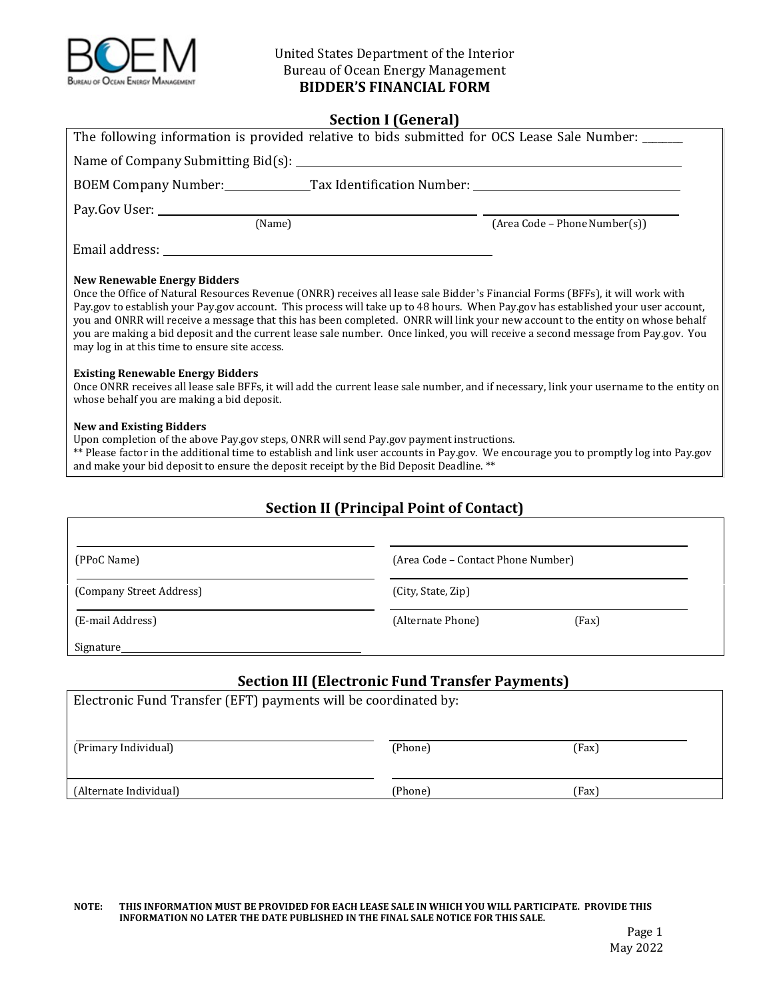

#### **Section I (General)**

| The following information is provided relative to bids submitted for OCS Lease Sale Number: ______                                                                                                                                                                                                                                                                                                                                                                                                                                                                                                                                                                                                                                                                                                                                                                        |                               |  |
|---------------------------------------------------------------------------------------------------------------------------------------------------------------------------------------------------------------------------------------------------------------------------------------------------------------------------------------------------------------------------------------------------------------------------------------------------------------------------------------------------------------------------------------------------------------------------------------------------------------------------------------------------------------------------------------------------------------------------------------------------------------------------------------------------------------------------------------------------------------------------|-------------------------------|--|
|                                                                                                                                                                                                                                                                                                                                                                                                                                                                                                                                                                                                                                                                                                                                                                                                                                                                           |                               |  |
|                                                                                                                                                                                                                                                                                                                                                                                                                                                                                                                                                                                                                                                                                                                                                                                                                                                                           |                               |  |
|                                                                                                                                                                                                                                                                                                                                                                                                                                                                                                                                                                                                                                                                                                                                                                                                                                                                           |                               |  |
| (Name)                                                                                                                                                                                                                                                                                                                                                                                                                                                                                                                                                                                                                                                                                                                                                                                                                                                                    | (Area Code – Phone Number(s)) |  |
|                                                                                                                                                                                                                                                                                                                                                                                                                                                                                                                                                                                                                                                                                                                                                                                                                                                                           |                               |  |
| <b>New Renewable Energy Bidders</b><br>Once the Office of Natural Resources Revenue (ONRR) receives all lease sale Bidder's Financial Forms (BFFs), it will work with<br>Pay.gov to establish your Pay.gov account. This process will take up to 48 hours. When Pay.gov has established your user account,<br>you and ONRR will receive a message that this has been completed. ONRR will link your new account to the entity on whose behalf<br>you are making a bid deposit and the current lease sale number. Once linked, you will receive a second message from Pay.gov. You<br>may log in at this time to ensure site access.<br><b>Existing Renewable Energy Bidders</b><br>Once ONRR receives all lease sale BFFs, it will add the current lease sale number, and if necessary, link your username to the entity on<br>whose behalf you are making a bid deposit. |                               |  |
| <b>New and Existing Bidders</b><br>Upon completion of the above Pay.gov steps, ONRR will send Pay.gov payment instructions.<br>** Please factor in the additional time to establish and link user accounts in Pay.gov. We encourage you to promptly log into Pay.gov<br>and make your bid deposit to ensure the deposit receipt by the Bid Deposit Deadline. **                                                                                                                                                                                                                                                                                                                                                                                                                                                                                                           |                               |  |
|                                                                                                                                                                                                                                                                                                                                                                                                                                                                                                                                                                                                                                                                                                                                                                                                                                                                           |                               |  |

# **Section II (Principal Point of Contact)**

| (PPoC Name)              | (Area Code - Contact Phone Number) |       |  |
|--------------------------|------------------------------------|-------|--|
| (Company Street Address) | (City, State, Zip)                 |       |  |
| (E-mail Address)         | (Alternate Phone)                  | (Fax) |  |
| Signature                |                                    |       |  |

#### **Section III (Electronic Fund Transfer Payments)**

| Electronic Fund Transfer (EFT) payments will be coordinated by: |         |       |
|-----------------------------------------------------------------|---------|-------|
| (Primary Individual)                                            | (Phone) | (Fax) |
| (Alternate Individual)                                          | (Phone) | (Fax) |

#### NOTE: THIS INFORMATION MUST BE PROVIDED FOR EACH LEASE SALE IN WHICH YOU WILL PARTICIPATE. PROVIDE THIS  **INFORMATION NO LATER THE DATE PUBLISHED IN THE FINAL SALE NOTICE FOR THIS SALE.**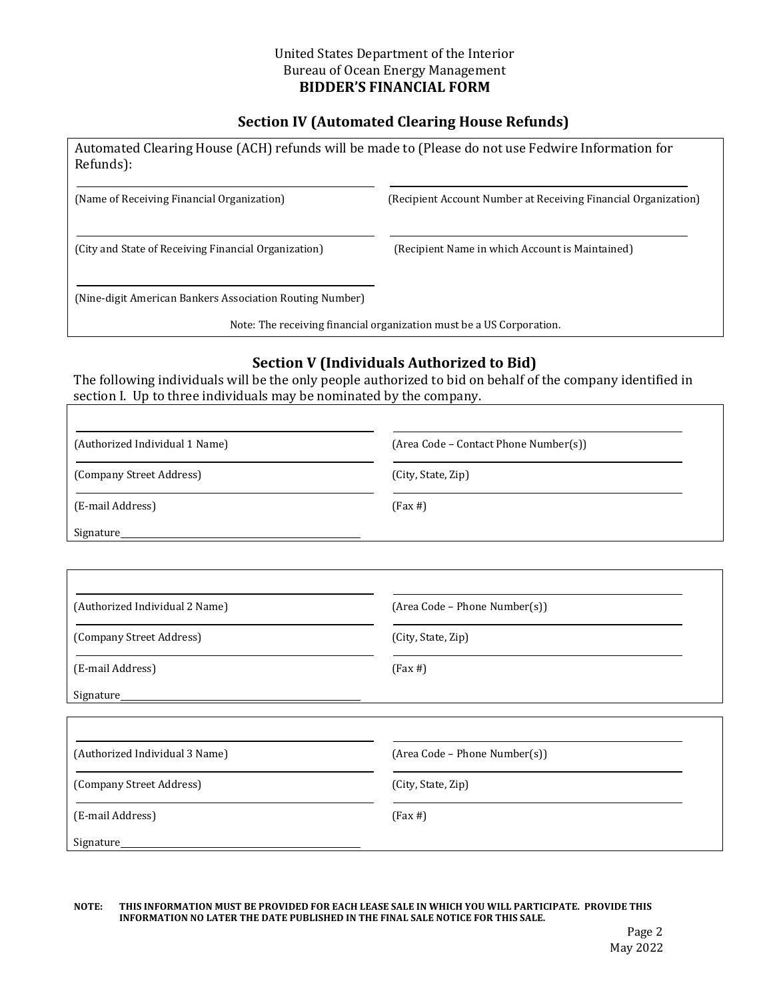# **Section IV (Automated Clearing House Refunds)**

| Automated Clearing House (ACH) refunds will be made to (Please do not use Fedwire Information for<br>Refunds): |                                                                      |
|----------------------------------------------------------------------------------------------------------------|----------------------------------------------------------------------|
| (Name of Receiving Financial Organization)                                                                     | (Recipient Account Number at Receiving Financial Organization)       |
| (City and State of Receiving Financial Organization)                                                           | (Recipient Name in which Account is Maintained)                      |
| (Nine-digit American Bankers Association Routing Number)                                                       |                                                                      |
|                                                                                                                | Note: The receiving financial organization must be a US Corporation. |

### **Section V (Individuals Authorized to Bid)**

The following individuals will be the only people authorized to bid on behalf of the company identified in section I. Up to three individuals may be nominated by the company.

| (Authorized Individual 1 Name) | (Area Code – Contact Phone Number(s)) |
|--------------------------------|---------------------------------------|
| (Company Street Address)       | (City, State, Zip)                    |
| (E-mail Address)               | $(Fax \#)$                            |
| Signature                      |                                       |

| (Authorized Individual 2 Name) | (Area Code - Phone Number(s)) |
|--------------------------------|-------------------------------|
| (Company Street Address)       | (City, State, Zip)            |
| (E-mail Address)               | $(Fax \#)$                    |
| Signature                      |                               |

| (Authorized Individual 3 Name) | (Area Code – Phone Number(s)) |
|--------------------------------|-------------------------------|
| (Company Street Address)       | (City, State, Zip)            |
| (E-mail Address)               | $(Fax \#)$                    |
| Signature                      |                               |

#### NOTE: THIS INFORMATION MUST BE PROVIDED FOR EACH LEASE SALE IN WHICH YOU WILL PARTICIPATE. PROVIDE THIS  **INFORMATION NO LATER THE DATE PUBLISHED IN THE FINAL SALE NOTICE FOR THIS SALE.**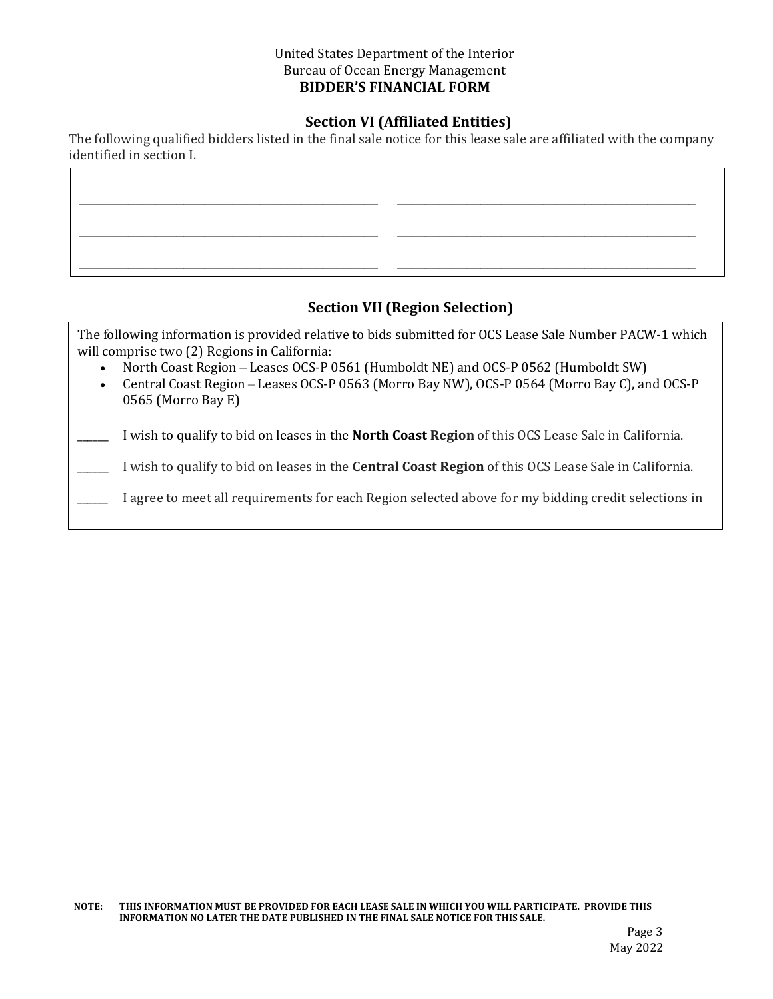# **Section VI (Affiliated Entities)**

The following qualified bidders listed in the final sale notice for this lease sale are affiliated with the company identified in section I.

 $\mathcal{L}_\mathcal{L} = \{ \mathcal{L}_\mathcal{L} = \{ \mathcal{L}_\mathcal{L} = \{ \mathcal{L}_\mathcal{L} = \{ \mathcal{L}_\mathcal{L} = \{ \mathcal{L}_\mathcal{L} = \{ \mathcal{L}_\mathcal{L} = \{ \mathcal{L}_\mathcal{L} = \{ \mathcal{L}_\mathcal{L} = \{ \mathcal{L}_\mathcal{L} = \{ \mathcal{L}_\mathcal{L} = \{ \mathcal{L}_\mathcal{L} = \{ \mathcal{L}_\mathcal{L} = \{ \mathcal{L}_\mathcal{L} = \{ \mathcal{L}_\mathcal{$ 

 $\mathcal{L}_\mathcal{L} = \{ \mathcal{L}_\mathcal{L} = \{ \mathcal{L}_\mathcal{L} = \{ \mathcal{L}_\mathcal{L} = \{ \mathcal{L}_\mathcal{L} = \{ \mathcal{L}_\mathcal{L} = \{ \mathcal{L}_\mathcal{L} = \{ \mathcal{L}_\mathcal{L} = \{ \mathcal{L}_\mathcal{L} = \{ \mathcal{L}_\mathcal{L} = \{ \mathcal{L}_\mathcal{L} = \{ \mathcal{L}_\mathcal{L} = \{ \mathcal{L}_\mathcal{L} = \{ \mathcal{L}_\mathcal{L} = \{ \mathcal{L}_\mathcal{$ 

\_\_\_\_\_\_\_\_\_\_\_\_\_\_\_\_\_\_\_\_\_\_\_\_\_\_\_\_\_\_\_\_\_\_\_\_\_\_\_\_\_\_\_ \_\_\_\_\_\_\_\_\_\_\_\_\_\_\_\_\_\_\_\_\_\_\_\_\_\_\_\_\_\_\_\_\_\_\_\_\_\_\_\_\_\_\_

# **Section VII (Region Selection)**

 The following information is provided relative to bids submitted for OCS Lease Sale Number PACW-1 which will comprise two (2) Regions in California:

- North Coast Region Leases OCS-P 0561 (Humboldt NE) and OCS-P 0562 (Humboldt SW)
- Central Coast Region Leases OCS-P 0563 (Morro Bay NW), OCS-P 0564 (Morro Bay C), and OCS-P 0565 (Morro Bay E)

 \_\_\_\_\_\_ I wish to qualify to bid on leases in the **North Coast Region** of this OCS Lease Sale in California.

 \_\_\_\_\_\_ I wish to qualify to bid on leases in the **Central Coast Region** of this OCS Lease Sale in California.

I agree to meet all requirements for each Region selected above for my bidding credit selections in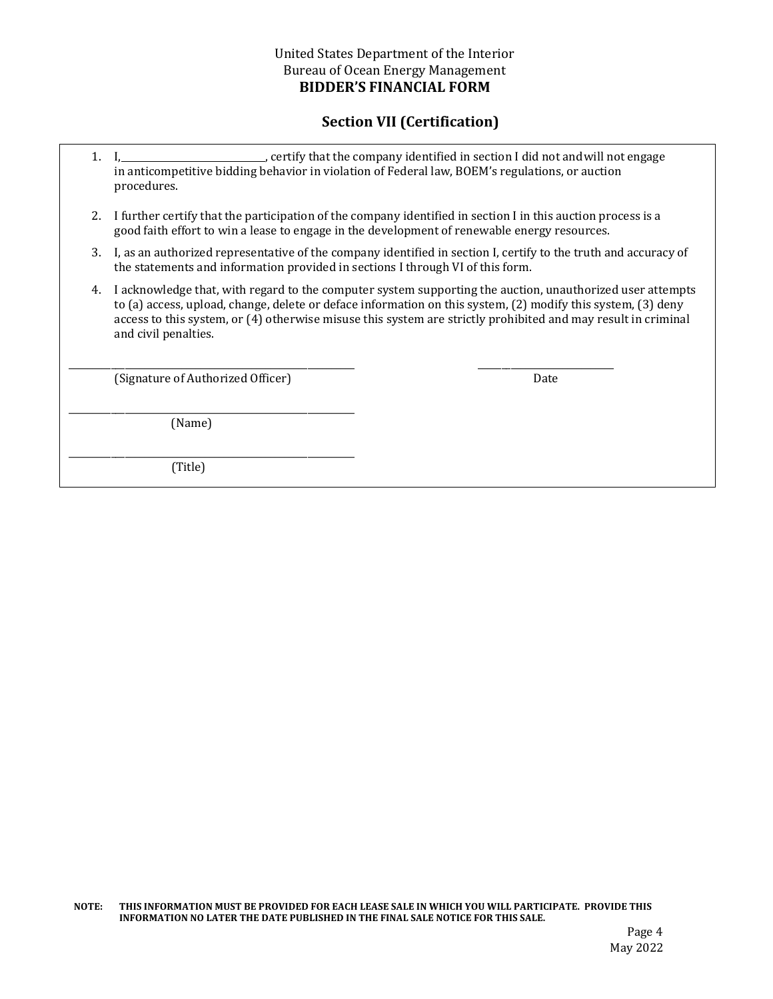# **Section VII (Certification)**

- 1. I,  $\frac{1}{2}$  , certify that the company identified in section I did not and will not engage in anticompetitive bidding behavior in violation of Federal law, BOEM's regulations, or auction procedures.
- good faith effort to win a lease to engage in the development of renewable energy resources. 2. I further certify that the participation of the company identified in section I in this auction process is a
- 3. I, as an authorized representative of the company identified in section I, certify to the truth and accuracy of the statements and information provided in sections I through VI of this form.
- 4. I acknowledge that, with regard to the computer system supporting the auction, unauthorized user attempts to (a) access, upload, change, delete or deface information on this system, (2) modify this system, (3) deny access to this system, or (4) otherwise misuse this system are strictly prohibited and may result in criminal and civil penalties.

\_\_\_\_\_\_\_\_\_\_\_\_\_\_\_\_\_\_\_\_\_\_\_\_\_\_\_\_\_\_\_\_\_\_\_\_\_\_\_\_\_\_\_\_\_\_\_\_\_\_\_\_\_\_\_\_\_\_\_\_\_ \_\_\_\_\_\_\_\_\_\_\_\_\_\_\_\_\_\_\_\_\_\_\_\_\_\_\_\_\_

(Signature of Authorized Officer) Date

\_\_\_\_\_\_\_\_\_\_\_\_\_\_\_\_\_\_\_\_\_\_\_\_\_\_\_\_\_\_\_\_\_\_\_\_\_\_\_\_\_\_\_\_\_\_\_\_\_\_\_\_\_\_\_\_\_\_\_\_\_

\_\_\_\_\_\_\_\_\_\_\_\_\_\_\_\_\_\_\_\_\_\_\_\_\_\_\_\_\_\_\_\_\_\_\_\_\_\_\_\_\_\_\_\_\_\_\_\_\_\_\_\_\_\_\_\_\_\_\_\_\_

(Name)

(Title)

NOTE: THIS INFORMATION MUST BE PROVIDED FOR EACH LEASE SALE IN WHICH YOU WILL PARTICIPATE. PROVIDE THIS  **INFORMATION NO LATER THE DATE PUBLISHED IN THE FINAL SALE NOTICE FOR THIS SALE.**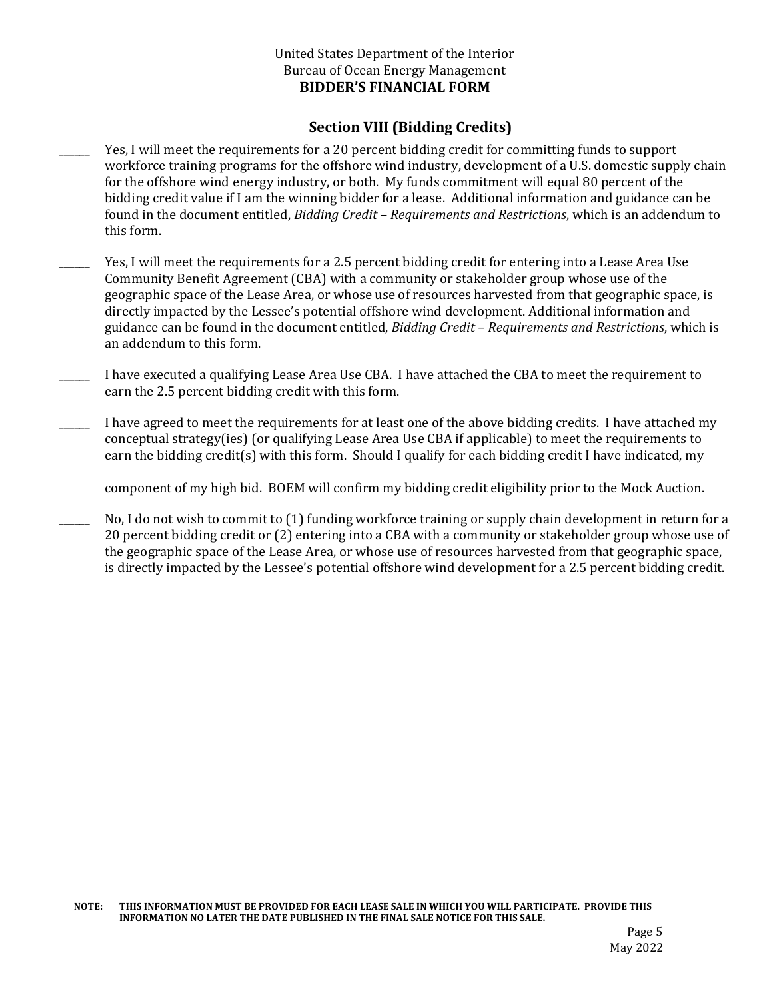# **Section VIII (Bidding Credits)**

- found in the document entitled, *Bidding Credit – Requirements and Restrictions*, which is an addendum to Yes, I will meet the requirements for a 20 percent bidding credit for committing funds to support workforce training programs for the offshore wind industry, development of a U.S. domestic supply chain for the offshore wind energy industry, or both. My funds commitment will equal 80 percent of the bidding credit value if I am the winning bidder for a lease. Additional information and guidance can be this form.
- guidance can be found in the document entitled, *Bidding Credit – Requirements and Restrictions*, which is Yes, I will meet the requirements for a 2.5 percent bidding credit for entering into a Lease Area Use Community Benefit Agreement (CBA) with a community or stakeholder group whose use of the geographic space of the Lease Area, or whose use of resources harvested from that geographic space, is directly impacted by the Lessee's potential offshore wind development. Additional information and an addendum to this form.
- I have executed a qualifying Lease Area Use CBA. I have attached the CBA to meet the requirement to earn the 2.5 percent bidding credit with this form.
- I have agreed to meet the requirements for at least one of the above bidding credits. I have attached my conceptual strategy(ies) (or qualifying Lease Area Use CBA if applicable) to meet the requirements to earn the bidding credit(s) with this form. Should I qualify for each bidding credit I have indicated, my

component of my high bid. BOEM will confirm my bidding credit eligibility prior to the Mock Auction.

No, I do not wish to commit to (1) funding workforce training or supply chain development in return for a 20 percent bidding credit or (2) entering into a CBA with a community or stakeholder group whose use of the geographic space of the Lease Area, or whose use of resources harvested from that geographic space, is directly impacted by the Lessee's potential offshore wind development for a 2.5 percent bidding credit.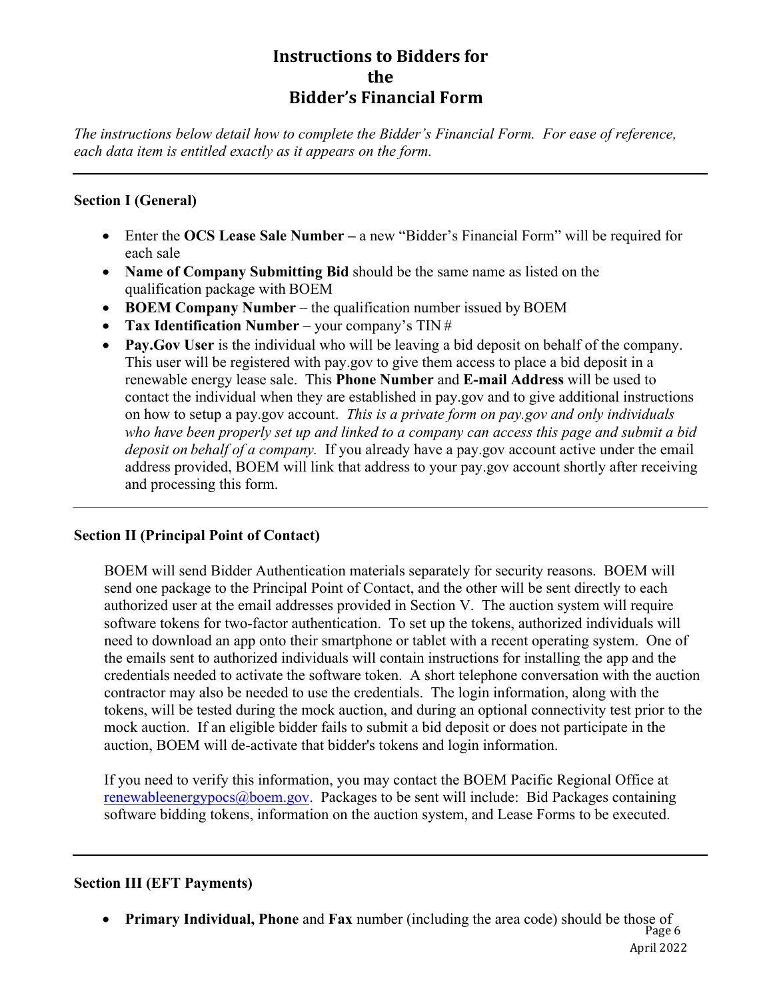# **Instructions to Bidders for Bidder's Financial Form the**

*The instructions below detail how to complete the Bidder's Financial Form. For ease of reference, each data item is entitled exactly as it appears on the form.* 

# **Section I (General)**

- Enter the **OCS Lease Sale Number** a new "Bidder's Financial Form" will be required for each sale
- **Name of Company Submitting Bid** should be the same name as listed on the qualification package with BOEM
- **BOEM Company Number** the qualification number issued by BOEM
- **Tax Identification Number**  your company's TIN #
- **Pay.Gov User** is the individual who will be leaving a bid deposit on behalf of the company. This user will be registered with pay.gov to give them access to place a bid deposit in a renewable energy lease sale. This **Phone Number** and **E-mail Address** will be used to contact the individual when they are established in pay.gov and to give additional instructions on how to setup a pay.gov account. *This is a private form on pay.gov and only individuals who have been properly set up and linked to a company can access this page and submit a bid deposit on behalf of a company.* If you already have a pay.gov account active under the email address provided, BOEM will link that address to your pay.gov account shortly after receiving and processing this form.

# **Section II (Principal Point of Contact)**

BOEM will send Bidder Authentication materials separately for security reasons. BOEM will send one package to the Principal Point of Contact, and the other will be sent directly to each authorized user at the email addresses provided in Section V. The auction system will require software tokens for two-factor authentication. To set up the tokens, authorized individuals will need to download an app onto their smartphone or tablet with a recent operating system. One of the emails sent to authorized individuals will contain instructions for installing the app and the credentials needed to activate the software token. A short telephone conversation with the auction contractor may also be needed to use the credentials. The login information, along with the tokens, will be tested during the mock auction, and during an optional connectivity test prior to the mock auction. If an eligible bidder fails to submit a bid deposit or does not participate in the auction, BOEM will de-activate that bidder's tokens and login information.

If you need to verify this information, you may contact the BOEM Pacific Regional Office at [renewableenergypocs@boem.gov](mailto:renewableenergypocs@boem.gov). Packages to be sent will include: Bid Packages containing software bidding tokens, information on the auction system, and Lease Forms to be executed.

# **Section III (EFT Payments)**

**Primary Individual, Phone** and **Fax** number (including the area code) should be those of Page 6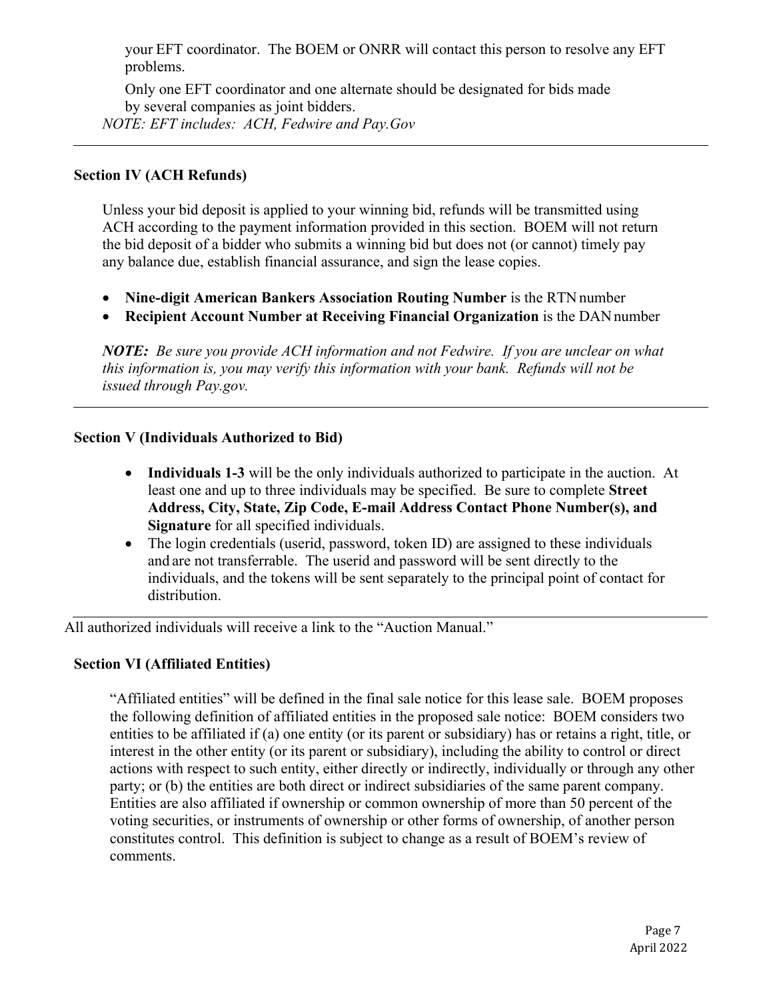your EFT coordinator. The BOEM or ONRR will contact this person to resolve any EFT problems.

Only one EFT coordinator and one alternate should be designated for bids made by several companies as joint bidders. *NOTE: EFT includes: ACH, Fedwire and Pay.Gov* 

#### **Section IV (ACH Refunds)**

Unless your bid deposit is applied to your winning bid, refunds will be transmitted using ACH according to the payment information provided in this section. BOEM will not return the bid deposit of a bidder who submits a winning bid but does not (or cannot) timely pay any balance due, establish financial assurance, and sign the lease copies.

- **Nine-digit American Bankers Association Routing Number** is the RTN number
- **Recipient Account Number at Receiving Financial Organization** is the DAN number

*NOTE: Be sure you provide ACH information and not Fedwire. If you are unclear on what this information is, you may verify this information with your bank. Refunds will not be issued through Pay.gov.* 

#### **Section V (Individuals Authorized to Bid)**

- **Individuals 1-3** will be the only individuals authorized to participate in the auction. At least one and up to three individuals may be specified. Be sure to complete **Street Address, City, State, Zip Code, E-mail Address Contact Phone Number(s), and Signature** for all specified individuals.
- The login credentials (userid, password, token ID) are assigned to these individuals and are not transferrable. The userid and password will be sent directly to the individuals, and the tokens will be sent separately to the principal point of contact for distribution.

All authorized individuals will receive a link to the "Auction Manual."

#### **Section VI (Affiliated Entities)**

"Affiliated entities" will be defined in the final sale notice for this lease sale. BOEM proposes the following definition of affiliated entities in the proposed sale notice: BOEM considers two entities to be affiliated if (a) one entity (or its parent or subsidiary) has or retains a right, title, or interest in the other entity (or its parent or subsidiary), including the ability to control or direct actions with respect to such entity, either directly or indirectly, individually or through any other party; or (b) the entities are both direct or indirect subsidiaries of the same parent company. Entities are also affiliated if ownership or common ownership of more than 50 percent of the voting securities, or instruments of ownership or other forms of ownership, of another person constitutes control. This definition is subject to change as a result of BOEM's review of comments.